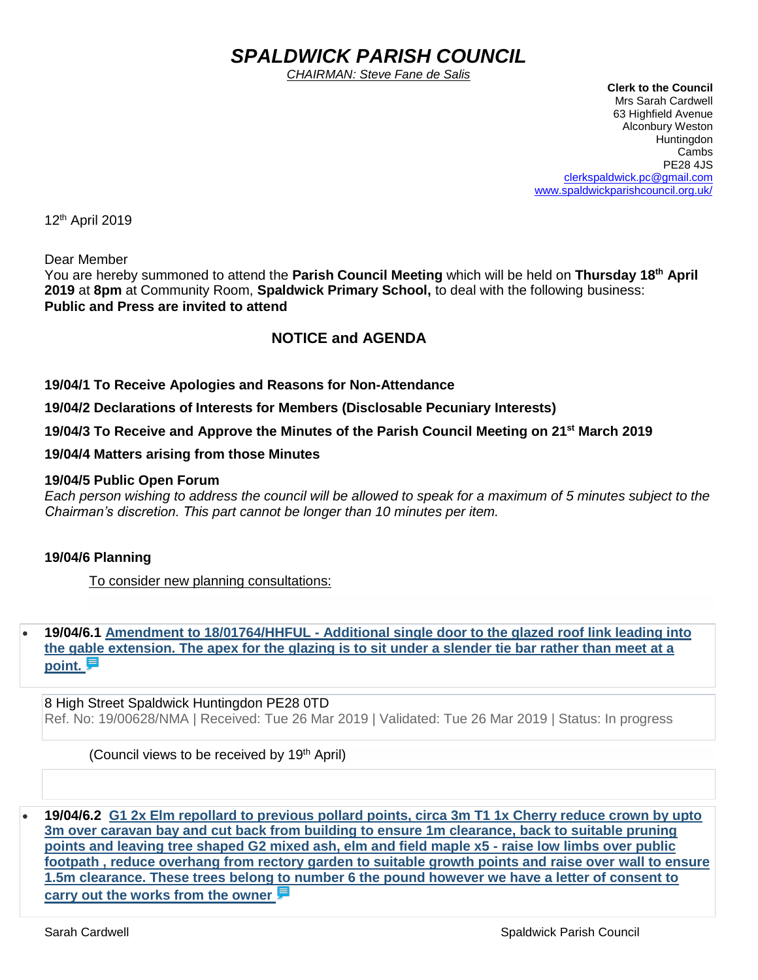# *SPALDWICK PARISH COUNCIL*

*CHAIRMAN: Steve Fane de Salis*

 **Clerk to the Council** Mrs Sarah Cardwell 63 Highfield Avenue Alconbury Weston **Huntingdon** Cambs PE28 4JS [clerkspaldwick.pc@gmail.com](mailto:clerkspaldwick.pc@gmail.com) [www.spaldwickparishcouncil.org.uk/](http://www.spaldwickparishcouncil.org.uk/)

12 th April 2019

Dear Member

You are hereby summoned to attend the **Parish Council Meeting** which will be held on **Thursday 18th April 2019** at **8pm** at Community Room, **Spaldwick Primary School,** to deal with the following business: **Public and Press are invited to attend**

# **NOTICE and AGENDA**

**19/04/1 To Receive Apologies and Reasons for Non-Attendance**

**19/04/2 Declarations of Interests for Members (Disclosable Pecuniary Interests)**

**19/04/3 To Receive and Approve the Minutes of the Parish Council Meeting on 21st March 2019**

**19/04/4 Matters arising from those Minutes**

#### **19/04/5 Public Open Forum**

*Each person wishing to address the council will be allowed to speak for a maximum of 5 minutes subject to the Chairman's discretion. This part cannot be longer than 10 minutes per item.* 

#### **19/04/6 Planning**

To consider new planning consultations:

• **19/04/6.1 Amendment to 18/01764/HHFUL - [Additional single door to the glazed roof link leading into](https://publicaccess.huntingdonshire.gov.uk/online-applications/applicationDetails.do?keyVal=PP0KDDIK0DP00&activeTab=summary)  [the gable extension. The apex for the glazing is to sit under a slender tie bar rather than meet at a](https://publicaccess.huntingdonshire.gov.uk/online-applications/applicationDetails.do?keyVal=PP0KDDIK0DP00&activeTab=summary)  [point.](https://publicaccess.huntingdonshire.gov.uk/online-applications/applicationDetails.do?keyVal=PP0KDDIK0DP00&activeTab=summary)** 

8 High Street Spaldwick Huntingdon PE28 0TD Ref. No: 19/00628/NMA | Received: Tue 26 Mar 2019 | Validated: Tue 26 Mar 2019 | Status: In progress

(Council views to be received by 19th April)

• **19/04/6.2 [G1 2x Elm repollard to previous pollard points, circa 3m T1 1x Cherry reduce crown by upto](https://publicaccess.huntingdonshire.gov.uk/online-applications/applicationDetails.do?keyVal=PNBIABIKJU400&activeTab=summary)  [3m over caravan bay and cut back from building to ensure 1m clearance, back to suitable pruning](https://publicaccess.huntingdonshire.gov.uk/online-applications/applicationDetails.do?keyVal=PNBIABIKJU400&activeTab=summary)  [points and leaving tree shaped G2 mixed ash, elm and field maple x5 -](https://publicaccess.huntingdonshire.gov.uk/online-applications/applicationDetails.do?keyVal=PNBIABIKJU400&activeTab=summary) raise low limbs over public [footpath , reduce overhang from rectory garden to suitable growth points and raise over wall to ensure](https://publicaccess.huntingdonshire.gov.uk/online-applications/applicationDetails.do?keyVal=PNBIABIKJU400&activeTab=summary)  [1.5m clearance. These trees belong to number 6 the pound however we have a letter of consent to](https://publicaccess.huntingdonshire.gov.uk/online-applications/applicationDetails.do?keyVal=PNBIABIKJU400&activeTab=summary)  [carry out the works from the owner](https://publicaccess.huntingdonshire.gov.uk/online-applications/applicationDetails.do?keyVal=PNBIABIKJU400&activeTab=summary)**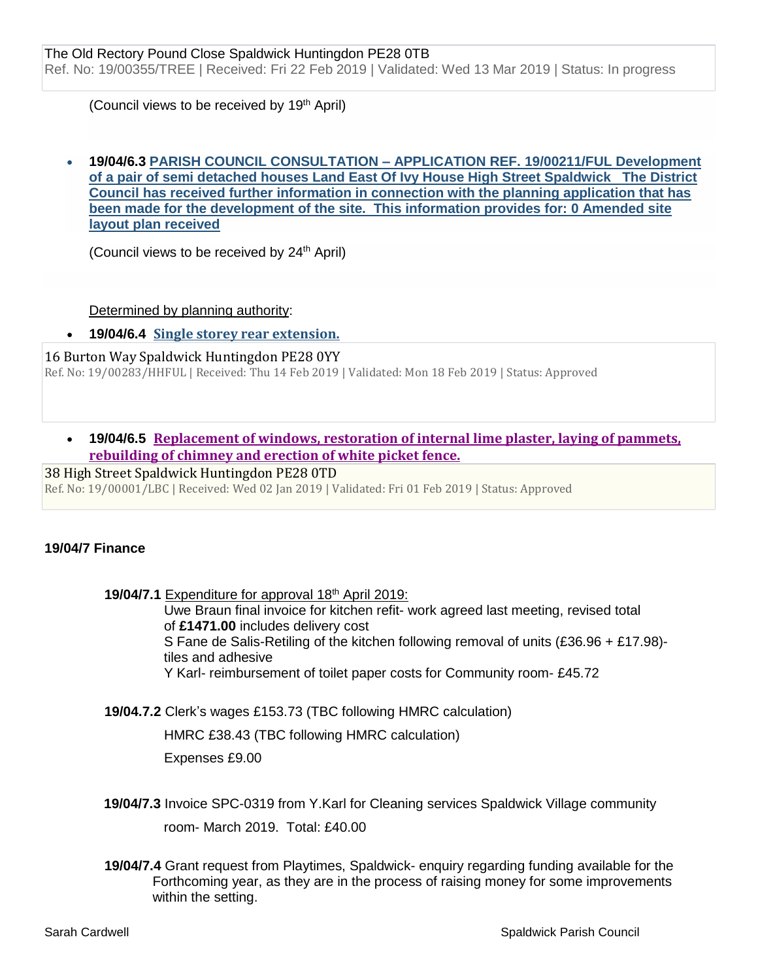(Council views to be received by 19<sup>th</sup> April)

#### • **19/04/6.3 PARISH COUNCIL CONSULTATION – APPLICATION REF. 19/00211/FUL Development of a pair of semi detached houses Land East Of Ivy House High Street Spaldwick The District Council has received further information in connection with the planning application that has been made for the development of the site. This information provides for: 0 Amended site layout plan received**

(Council views to be received by 24<sup>th</sup> April)

Determined by planning authority:

• **19/04/6.4 [Single storey rear extension.](https://publicaccess.huntingdonshire.gov.uk/online-applications/applicationDetails.do?keyVal=PMX031IKJO700&activeTab=summary)** 

16 Burton Way Spaldwick Huntingdon PE28 0YY Ref. No: 19/00283/HHFUL | Received: Thu 14 Feb 2019 | Validated: Mon 18 Feb 2019 | Status: Approved

• **19/04/6.5 [Replacement of windows, restoration of internal lime plaster, laying of pammets,](https://publicaccess.huntingdonshire.gov.uk/online-applications/applicationDetails.do?keyVal=PKP2A4IKIUH00&activeTab=summary)  [rebuilding of chimney and erection](https://publicaccess.huntingdonshire.gov.uk/online-applications/applicationDetails.do?keyVal=PKP2A4IKIUH00&activeTab=summary) of white picket fence.** 

38 High Street Spaldwick Huntingdon PE28 0TD Ref. No: 19/00001/LBC | Received: Wed 02 Jan 2019 | Validated: Fri 01 Feb 2019 | Status: Approved

# **19/04/7 Finance**

**19/04/7.1** Expenditure for approval 18<sup>th</sup> April 2019: Uwe Braun final invoice for kitchen refit- work agreed last meeting, revised total of **£1471.00** includes delivery cost S Fane de Salis-Retiling of the kitchen following removal of units (£36.96 + £17.98) tiles and adhesive Y Karl- reimbursement of toilet paper costs for Community room- £45.72

**19/04.7.2** Clerk's wages £153.73 (TBC following HMRC calculation)

HMRC £38.43 (TBC following HMRC calculation)

Expenses £9.00

- **19/04/7.3** Invoice SPC-0319 from Y.Karl for Cleaning services Spaldwick Village community room- March 2019. Total: £40.00
- **19/04/7.4** Grant request from Playtimes, Spaldwick- enquiry regarding funding available for the Forthcoming year, as they are in the process of raising money for some improvements within the setting.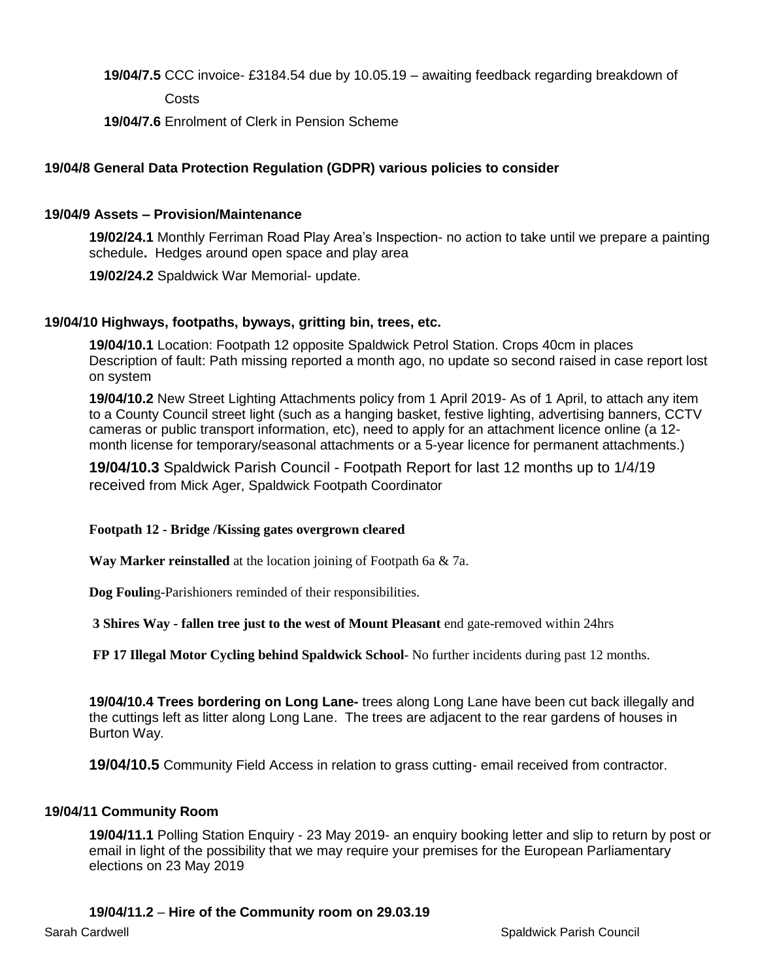## **19/04/7.5** CCC invoice- £3184.54 due by 10.05.19 – awaiting feedback regarding breakdown of

Costs

**19/04/7.6** Enrolment of Clerk in Pension Scheme

# **19/04/8 General Data Protection Regulation (GDPR) various policies to consider**

## **19/04/9 Assets – Provision/Maintenance**

**19/02/24.1** Monthly Ferriman Road Play Area's Inspection- no action to take until we prepare a painting schedule**.** Hedges around open space and play area

**19/02/24.2** Spaldwick War Memorial- update.

### **19/04/10 Highways, footpaths, byways, gritting bin, trees, etc.**

**19/04/10.1** Location: Footpath 12 opposite Spaldwick Petrol Station. Crops 40cm in places Description of fault: Path missing reported a month ago, no update so second raised in case report lost on system

**19/04/10.2** New Street Lighting Attachments policy from 1 April 2019- As of 1 April, to attach any item to a County Council street light (such as a hanging basket, festive lighting, advertising banners, CCTV cameras or public transport information, etc), need to apply for an attachment licence online (a 12 month license for temporary/seasonal attachments or a 5-year licence for permanent attachments.)

**19/04/10.3** Spaldwick Parish Council - Footpath Report for last 12 months up to 1/4/19 received from Mick Ager, Spaldwick Footpath Coordinator

### **Footpath 12 - Bridge /Kissing gates overgrown cleared**

**Way Marker reinstalled** at the location joining of Footpath 6a & 7a.

**Dog Foulin**g-Parishioners reminded of their responsibilities.

**3 Shires Way - fallen tree just to the west of Mount Pleasant** end gate-removed within 24hrs

**FP 17 Illegal Motor Cycling behind Spaldwick School**- No further incidents during past 12 months.

**19/04/10.4 Trees bordering on Long Lane-** trees along Long Lane have been cut back illegally and the cuttings left as litter along Long Lane. The trees are adjacent to the rear gardens of houses in Burton Way.

**19/04/10.5** Community Field Access in relation to grass cutting- email received from contractor.

### **19/04/11 Community Room**

**19/04/11.1** Polling Station Enquiry - 23 May 2019- an enquiry booking letter and slip to return by post or email in light of the possibility that we may require your premises for the European Parliamentary elections on 23 May 2019

### **19/04/11.2** – **Hire of the Community room on 29.03.19**